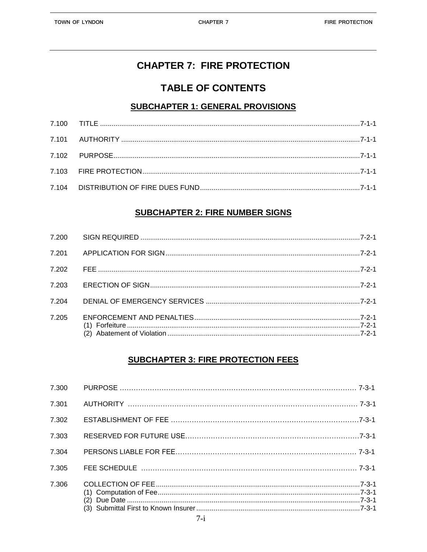# **CHAPTER 7: FIRE PROTECTION**

## **TABLE OF CONTENTS**

### **SUBCHAPTER 1: GENERAL PROVISIONS**

### **SUBCHAPTER 2: FIRE NUMBER SIGNS**

| 7.200 |  |
|-------|--|
| 7.201 |  |
| 7.202 |  |
| 7.203 |  |
| 7 204 |  |
| 7.205 |  |

#### **SUBCHAPTER 3: FIRE PROTECTION FEES**

| 7.300 |  |
|-------|--|
| 7.301 |  |
| 7.302 |  |
| 7.303 |  |
| 7.304 |  |
| 7.305 |  |
| 7.306 |  |